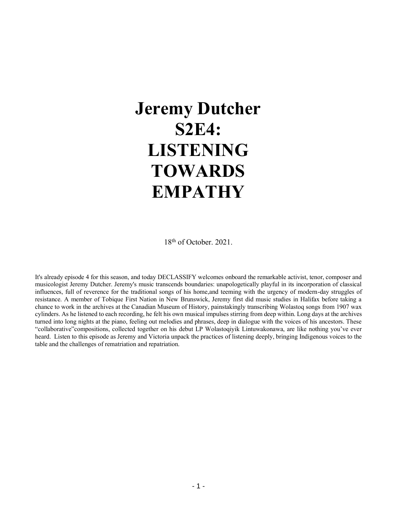# **Jeremy Dutcher S2E4: LISTENING TOWARDS EMPATHY**

18<sup>th</sup> of October. 2021.

It's already episode 4 for this season, and today DECLASSIFY welcomes onboard the remarkable activist, tenor, composer and musicologist Jeremy Dutcher. Jeremy's music transcends boundaries: unapologetically playful in its incorporation of classical influences, full of reverence for the traditional songs of his home,and teeming with the urgency of modern-day struggles of resistance. A member of Tobique First Nation in New Brunswick, Jeremy first did music studies in Halifax before taking a chance to work in the archives at the Canadian Museum of History, painstakingly transcribing Wolastoq songs from 1907 wax cylinders. As he listened to each recording, he felt his own musical impulses stirring from deep within. Long days at the archives turned into long nights at the piano, feeling out melodies and phrases, deep in dialogue with the voices of his ancestors. These "collaborative"compositions, collected together on his debut LP Wolastoqiyik Lintuwakonawa, are like nothing you've ever heard. Listen to this episode as Jeremy and Victoria unpack the practices of listening deeply, bringing Indigenous voices to the table and the challenges of rematriation and repatriation.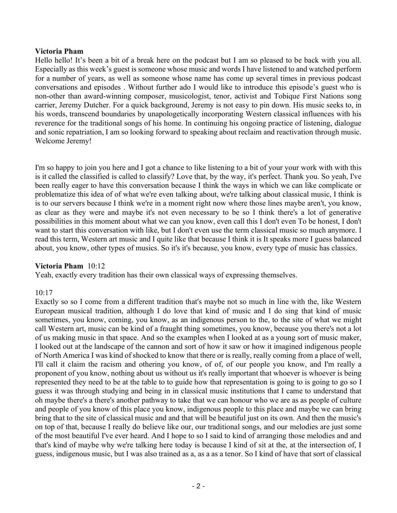#### **Victoria Pham**

Hello hello! It's been a bit of a break here on the podcast but I am so pleased to be back with you all. Especially as this week's guest is someone whose music and words I have listened to and watched perform for a number of years, as well as someone whose name has come up several times in previous podcast conversations and episodes . Without further ado I would like to introduce this episode's guest who is non-other than award-winning composer, musicologist, tenor, activist and Tobique First Nations song carrier, Jeremy Dutcher. For a quick background, Jeremy is not easy to pin down. His music seeks to, in his words, transcend boundaries by unapologetically incorporating Western classical influences with his reverence for the traditional songs of his home. In continuing his ongoing practice of listening, dialogue and sonic repatriation, I am so looking forward to speaking about reclaim and reactivation through music. Welcome Jeremy!

I'm so happy to join you here and I got a chance to like listening to a bit of your your work with with this is it called the classified is called to classify? Love that, by the way, it's perfect. Thank you. So yeah, I've been really eager to have this conversation because I think the ways in which we can like complicate or problematize this idea of of what we're even talking about, we're talking about classical music, I think is is to our servers because I think we're in a moment right now where those lines maybe aren't, you know, as clear as they were and maybe it's not even necessary to be so I think there's a lot of generative possibilities in this moment about what we can you know, even call this I don't even To be honest, I don't want to start this conversation with like, but I don't even use the term classical music so much anymore. I read this term, Western art music and I quite like that because I think it is It speaks more I guess balanced about, you know, other types of musics. So it's it's because, you know, every type of music has classics.

#### **Victoria Pham** 10:12

Yeah, exactly every tradition has their own classical ways of expressing themselves.

#### 10:17

Exactly so so I come from a different tradition that's maybe not so much in line with the, like Western European musical tradition, although I do love that kind of music and I do sing that kind of music sometimes, you know, coming, you know, as an indigenous person to the, to the site of what we might call Western art, music can be kind of a fraught thing sometimes, you know, because you there's not a lot of us making music in that space. And so the examples when I looked at as a young sort of music maker, I looked out at the landscape of the cannon and sort of how it saw or how it imagined indigenous people of North America I was kind of shocked to know that there or is really, really coming from a place of well, I'll call it claim the racism and othering you know, of of, of our people you know, and I'm really a proponent of you know, nothing about us without us it's really important that whoever is whoever is being represented they need to be at the table to to guide how that representation is going to is going to go so I guess it was through studying and being in in classical music institutions that I came to understand that oh maybe there's a there's another pathway to take that we can honour who we are as as people of culture and people of you know of this place you know, indigenous people to this place and maybe we can bring bring that to the site of classical music and and that will be beautiful just on its own. And then the music's on top of that, because I really do believe like our, our traditional songs, and our melodies are just some of the most beautiful I've ever heard. And I hope to so I said to kind of arranging those melodies and and that's kind of maybe why we're talking here today is because I kind of sit at the, at the intersection of, I guess, indigenous music, but I was also trained as a, as a as a tenor. So I kind of have that sort of classical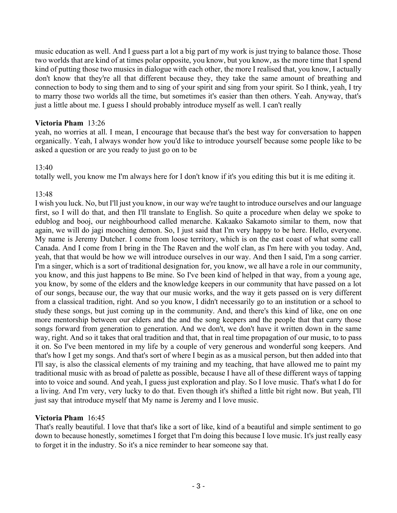music education as well. And I guess part a lot a big part of my work is just trying to balance those. Those two worlds that are kind of at times polar opposite, you know, but you know, as the more time that I spend kind of putting those two musics in dialogue with each other, the more I realised that, you know, I actually don't know that they're all that different because they, they take the same amount of breathing and connection to body to sing them and to sing of your spirit and sing from your spirit. So I think, yeah, I try to marry those two worlds all the time, but sometimes it's easier than then others. Yeah. Anyway, that's just a little about me. I guess I should probably introduce myself as well. I can't really

# **Victoria Pham** 13:26

yeah, no worries at all. I mean, I encourage that because that's the best way for conversation to happen organically. Yeah, I always wonder how you'd like to introduce yourself because some people like to be asked a question or are you ready to just go on to be

# 13:40

totally well, you know me I'm always here for I don't know if it's you editing this but it is me editing it.

# 13:48

I wish you luck. No, but I'll just you know, in our way we're taught to introduce ourselves and our language first, so I will do that, and then I'll translate to English. So quite a procedure when delay we spoke to edublog and booj, our neighbourhood called menarche. Kakaako Sakamoto similar to them, now that again, we will do jagi mooching demon. So, I just said that I'm very happy to be here. Hello, everyone. My name is Jeremy Dutcher. I come from loose territory, which is on the east coast of what some call Canada. And I come from I bring in the The Raven and the wolf clan, as I'm here with you today. And, yeah, that that would be how we will introduce ourselves in our way. And then I said, I'm a song carrier. I'm a singer, which is a sort of traditional designation for, you know, we all have a role in our community, you know, and this just happens to Be mine. So I've been kind of helped in that way, from a young age, you know, by some of the elders and the knowledge keepers in our community that have passed on a lot of our songs, because our, the way that our music works, and the way it gets passed on is very different from a classical tradition, right. And so you know, I didn't necessarily go to an institution or a school to study these songs, but just coming up in the community. And, and there's this kind of like, one on one more mentorship between our elders and the and the song keepers and the people that that carry those songs forward from generation to generation. And we don't, we don't have it written down in the same way, right. And so it takes that oral tradition and that, that in real time propagation of our music, to to pass it on. So I've been mentored in my life by a couple of very generous and wonderful song keepers. And that's how I get my songs. And that's sort of where I begin as as a musical person, but then added into that I'll say, is also the classical elements of my training and my teaching, that have allowed me to paint my traditional music with as broad of palette as possible, because I have all of these different ways of tapping into to voice and sound. And yeah, I guess just exploration and play. So I love music. That's what I do for a living. And I'm very, very lucky to do that. Even though it's shifted a little bit right now. But yeah, I'll just say that introduce myself that My name is Jeremy and I love music.

#### **Victoria Pham** 16:45

That's really beautiful. I love that that's like a sort of like, kind of a beautiful and simple sentiment to go down to because honestly, sometimes I forget that I'm doing this because I love music. It's just really easy to forget it in the industry. So it's a nice reminder to hear someone say that.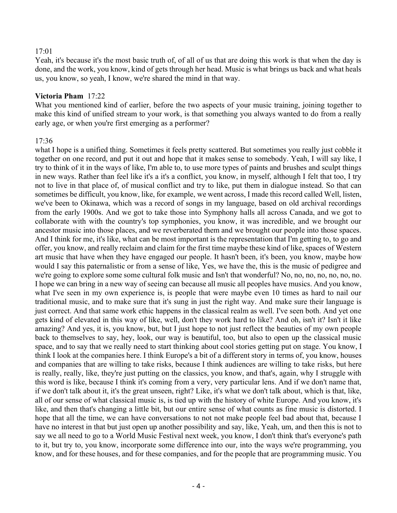#### 17:01

Yeah, it's because it's the most basic truth of, of all of us that are doing this work is that when the day is done, and the work, you know, kind of gets through her head. Music is what brings us back and what heals us, you know, so yeah, I know, we're shared the mind in that way.

#### **Victoria Pham** 17:22

What you mentioned kind of earlier, before the two aspects of your music training, joining together to make this kind of unified stream to your work, is that something you always wanted to do from a really early age, or when you're first emerging as a performer?

#### 17:36

what I hope is a unified thing. Sometimes it feels pretty scattered. But sometimes you really just cobble it together on one record, and put it out and hope that it makes sense to somebody. Yeah, I will say like, I try to think of it in the ways of like, I'm able to, to use more types of paints and brushes and sculpt things in new ways. Rather than feel like it's a it's a conflict, you know, in myself, although I felt that too, I try not to live in that place of, of musical conflict and try to like, put them in dialogue instead. So that can sometimes be difficult, you know, like, for example, we went across, I made this record called Well, listen, we've been to Okinawa, which was a record of songs in my language, based on old archival recordings from the early 1900s. And we got to take those into Symphony halls all across Canada, and we got to collaborate with with the country's top symphonies, you know, it was incredible, and we brought our ancestor music into those places, and we reverberated them and we brought our people into those spaces. And I think for me, it's like, what can be most important is the representation that I'm getting to, to go and offer, you know, and really reclaim and claim for the first time maybe these kind of like, spaces of Western art music that have when they have engaged our people. It hasn't been, it's been, you know, maybe how would I say this paternalistic or from a sense of like, Yes, we have the, this is the music of pedigree and we're going to explore some some cultural folk music and Isn't that wonderful? No, no, no, no, no, no, no, no I hope we can bring in a new way of seeing can because all music all peoples have musics. And you know, what I've seen in my own experience is, is people that were maybe even 10 times as hard to nail our traditional music, and to make sure that it's sung in just the right way. And make sure their language is just correct. And that same work ethic happens in the classical realm as well. I've seen both. And yet one gets kind of elevated in this way of like, well, don't they work hard to like? And oh, isn't it? Isn't it like amazing? And yes, it is, you know, but, but I just hope to not just reflect the beauties of my own people back to themselves to say, hey, look, our way is beautiful, too, but also to open up the classical music space, and to say that we really need to start thinking about cool stories getting put on stage. You know, I think I look at the companies here. I think Europe's a bit of a different story in terms of, you know, houses and companies that are willing to take risks, because I think audiences are willing to take risks, but here is really, really, like, they're just putting on the classics, you know, and that's, again, why I struggle with this word is like, because I think it's coming from a very, very particular lens. And if we don't name that, if we don't talk about it, it's the great unseen, right? Like, it's what we don't talk about, which is that, like, all of our sense of what classical music is, is tied up with the history of white Europe. And you know, it's like, and then that's changing a little bit, but our entire sense of what counts as fine music is distorted. I hope that all the time, we can have conversations to not not make people feel bad about that, because I have no interest in that but just open up another possibility and say, like, Yeah, um, and then this is not to say we all need to go to a World Music Festival next week, you know, I don't think that's everyone's path to it, but try to, you know, incorporate some difference into our, into the ways we're programming, you know, and for these houses, and for these companies, and for the people that are programming music. You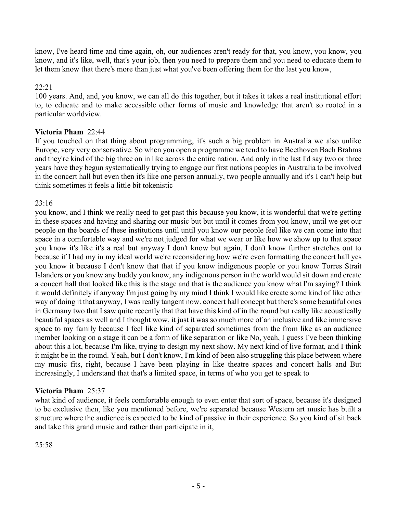know, I've heard time and time again, oh, our audiences aren't ready for that, you know, you know, you know, and it's like, well, that's your job, then you need to prepare them and you need to educate them to let them know that there's more than just what you've been offering them for the last you know,

# 22:21

100 years. And, and, you know, we can all do this together, but it takes it takes a real institutional effort to, to educate and to make accessible other forms of music and knowledge that aren't so rooted in a particular worldview.

# **Victoria Pham** 22:44

If you touched on that thing about programming, it's such a big problem in Australia we also unlike Europe, very very conservative. So when you open a programme we tend to have Beethoven Bach Brahms and they're kind of the big three on in like across the entire nation. And only in the last I'd say two or three years have they begun systematically trying to engage our first nations peoples in Australia to be involved in the concert hall but even then it's like one person annually, two people annually and it's I can't help but think sometimes it feels a little bit tokenistic

#### 23:16

you know, and I think we really need to get past this because you know, it is wonderful that we're getting in these spaces and having and sharing our music but but until it comes from you know, until we get our people on the boards of these institutions until until you know our people feel like we can come into that space in a comfortable way and we're not judged for what we wear or like how we show up to that space you know it's like it's a real but anyway I don't know but again, I don't know further stretches out to because if I had my in my ideal world we're reconsidering how we're even formatting the concert hall yes you know it because I don't know that that if you know indigenous people or you know Torres Strait Islanders or you know any buddy you know, any indigenous person in the world would sit down and create a concert hall that looked like this is the stage and that is the audience you know what I'm saying? I think it would definitely if anyway I'm just going by my mind I think I would like create some kind of like other way of doing it that anyway, I was really tangent now. concert hall concept but there's some beautiful ones in Germany two that I saw quite recently that that have this kind of in the round but really like acoustically beautiful spaces as well and I thought wow, it just it was so much more of an inclusive and like immersive space to my family because I feel like kind of separated sometimes from the from like as an audience member looking on a stage it can be a form of like separation or like No, yeah, I guess I've been thinking about this a lot, because I'm like, trying to design my next show. My next kind of live format, and I think it might be in the round. Yeah, but I don't know, I'm kind of been also struggling this place between where my music fits, right, because I have been playing in like theatre spaces and concert halls and But increasingly, I understand that that's a limited space, in terms of who you get to speak to

# **Victoria Pham** 25:37

what kind of audience, it feels comfortable enough to even enter that sort of space, because it's designed to be exclusive then, like you mentioned before, we're separated because Western art music has built a structure where the audience is expected to be kind of passive in their experience. So you kind of sit back and take this grand music and rather than participate in it,

25:58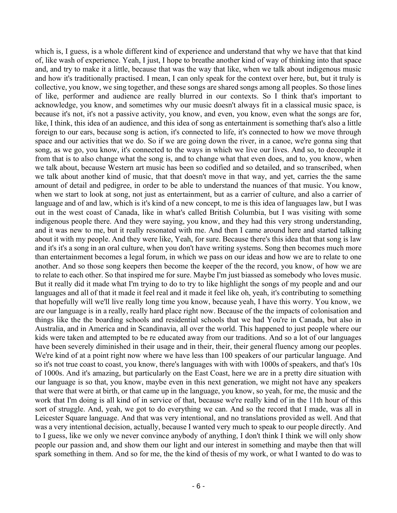which is, I guess, is a whole different kind of experience and understand that why we have that that kind of, like wash of experience. Yeah, I just, I hope to breathe another kind of way of thinking into that space and, and try to make it a little, because that was the way that like, when we talk about indigenous music and how it's traditionally practised. I mean, I can only speak for the context over here, but, but it truly is collective, you know, we sing together, and these songs are shared songs among all peoples. So those lines of like, performer and audience are really blurred in our contexts. So I think that's important to acknowledge, you know, and sometimes why our music doesn't always fit in a classical music space, is because it's not, it's not a passive activity, you know, and even, you know, even what the songs are for, like, I think, this idea of an audience, and this idea of song as entertainment is something that's also a little foreign to our ears, because song is action, it's connected to life, it's connected to how we move through space and our activities that we do. So if we are going down the river, in a canoe, we're gonna sing that song, as we go, you know, it's connected to the ways in which we live our lives. And so, to decouple it from that is to also change what the song is, and to change what that even does, and to, you know, when we talk about, because Western art music has been so codified and so detailed, and so transcribed, when we talk about another kind of music, that that doesn't move in that way, and yet, carries the the same amount of detail and pedigree, in order to be able to understand the nuances of that music. You know, when we start to look at song, not just as entertainment, but as a carrier of culture, and also a carrier of language and of and law, which is it's kind of a new concept, to me is this idea of languages law, but I was out in the west coast of Canada, like in what's called British Columbia, but I was visiting with some indigenous people there. And they were saying, you know, and they had this very strong understanding, and it was new to me, but it really resonated with me. And then I came around here and started talking about it with my people. And they were like, Yeah, for sure. Because there's this idea that that song is law and it's it's a song in an oral culture, when you don't have writing systems. Song then becomes much more than entertainment becomes a legal forum, in which we pass on our ideas and how we are to relate to one another. And so those song keepers then become the keeper of the the record, you know, of how we are to relate to each other. So that inspired me for sure. Maybe I'm just biassed as somebody who loves music. But it really did it made what I'm trying to do to try to like highlight the songs of my people and and our languages and all of that it made it feel real and it made it feel like oh, yeah, it's contributing to something that hopefully will we'll live really long time you know, because yeah, I have this worry. You know, we are our language is in a really, really hard place right now. Because of the the impacts of colonisation and things like the the boarding schools and residential schools that we had You're in Canada, but also in Australia, and in America and in Scandinavia, all over the world. This happened to just people where our kids were taken and attempted to be re educated away from our traditions. And so a lot of our languages have been severely diminished in their usage and in their, their, their general fluency among our peoples. We're kind of at a point right now where we have less than 100 speakers of our particular language. And so it's not true coast to coast, you know, there's languages with with with 1000s of speakers, and that's 10s of 1000s. And it's amazing, but particularly on the East Coast, here we are in a pretty dire situation with our language is so that, you know, maybe even in this next generation, we might not have any speakers that were that were at birth, or that came up in the language, you know, so yeah, for me, the music and the work that I'm doing is all kind of in service of that, because we're really kind of in the 11th hour of this sort of struggle. And, yeah, we got to do everything we can. And so the record that I made, was all in Leicester Square language. And that was very intentional, and no translations provided as well. And that was a very intentional decision, actually, because I wanted very much to speak to our people directly. And to I guess, like we only we never convince anybody of anything, I don't think I think we will only show people our passion and, and show them our light and our interest in something and maybe then that will spark something in them. And so for me, the the kind of thesis of my work, or what I wanted to do was to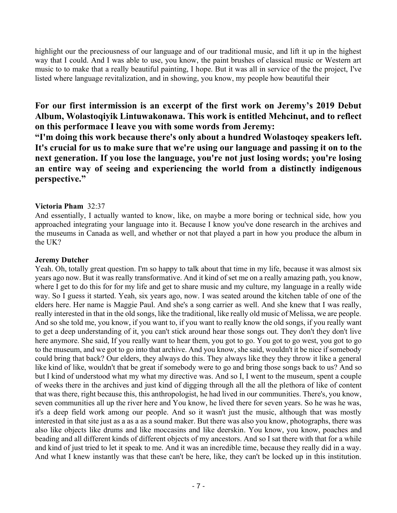highlight our the preciousness of our language and of our traditional music, and lift it up in the highest way that I could. And I was able to use, you know, the paint brushes of classical music or Western art music to to make that a really beautiful painting, I hope. But it was all in service of the the project, I've listed where language revitalization, and in showing, you know, my people how beautiful their

# **For our first intermission is an excerpt of the first work on Jeremy's 2019 Debut Album, Wolastoqiyik Lintuwakonawa. This work is entitled Mehcinut, and to reflect on this performace I leave you with some words from Jeremy:**

**"I'm doing this work because there's only about a hundred Wolastoqey speakers left. It's crucial for us to make sure that we're using our language and passing it on to the next generation. If you lose the language, you're not just losing words; you're losing an entire way of seeing and experiencing the world from a distinctly indigenous perspective."**

# **Victoria Pham** 32:37

And essentially, I actually wanted to know, like, on maybe a more boring or technical side, how you approached integrating your language into it. Because I know you've done research in the archives and the museums in Canada as well, and whether or not that played a part in how you produce the album in the UK?

#### **Jeremy Dutcher**

Yeah. Oh, totally great question. I'm so happy to talk about that time in my life, because it was almost six years ago now. But it was really transformative. And it kind of set me on a really amazing path, you know, where I get to do this for for my life and get to share music and my culture, my language in a really wide way. So I guess it started. Yeah, six years ago, now. I was seated around the kitchen table of one of the elders here. Her name is Maggie Paul. And she's a song carrier as well. And she knew that I was really, really interested in that in the old songs, like the traditional, like really old music of Melissa, we are people. And so she told me, you know, if you want to, if you want to really know the old songs, if you really want to get a deep understanding of it, you can't stick around hear those songs out. They don't they don't live here anymore. She said, If you really want to hear them, you got to go. You got to go west, you got to go to the museum, and we got to go into that archive. And you know, she said, wouldn't it be nice if somebody could bring that back? Our elders, they always do this. They always like they they throw it like a general like kind of like, wouldn't that be great if somebody were to go and bring those songs back to us? And so but I kind of understood what my what my directive was. And so I, I went to the museum, spent a couple of weeks there in the archives and just kind of digging through all the all the plethora of like of content that was there, right because this, this anthropologist, he had lived in our communities. There's, you know, seven communities all up the river here and You know, he lived there for seven years. So he was he was, it's a deep field work among our people. And so it wasn't just the music, although that was mostly interested in that site just as a as a as a sound maker. But there was also you know, photographs, there was also like objects like drums and like moccasins and like deerskin. You know, you know, poaches and beading and all different kinds of different objects of my ancestors. And so I sat there with that for a while and kind of just tried to let it speak to me. And it was an incredible time, because they really did in a way. And what I knew instantly was that these can't be here, like, they can't be locked up in this institution.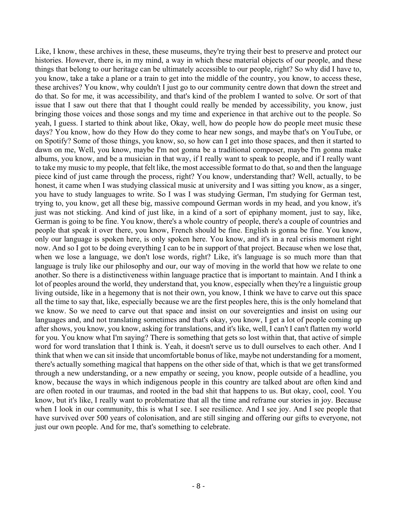Like, I know, these archives in these, these museums, they're trying their best to preserve and protect our histories. However, there is, in my mind, a way in which these material objects of our people, and these things that belong to our heritage can be ultimately accessible to our people, right? So why did I have to, you know, take a take a plane or a train to get into the middle of the country, you know, to access these, these archives? You know, why couldn't I just go to our community centre down that down the street and do that. So for me, it was accessibility, and that's kind of the problem I wanted to solve. Or sort of that issue that I saw out there that that I thought could really be mended by accessibility, you know, just bringing those voices and those songs and my time and experience in that archive out to the people. So yeah, I guess. I started to think about like, Okay, well, how do people how do people meet music these days? You know, how do they How do they come to hear new songs, and maybe that's on YouTube, or on Spotify? Some of those things, you know, so, so how can I get into those spaces, and then it started to dawn on me, Well, you know, maybe I'm not gonna be a traditional composer, maybe I'm gonna make albums, you know, and be a musician in that way, if I really want to speak to people, and if I really want to take my music to my people, that felt like, the most accessible format to do that, so and then the language piece kind of just came through the process, right? You know, understanding that? Well, actually, to be honest, it came when I was studying classical music at university and I was sitting you know, as a singer, you have to study languages to write. So I was I was studying German, I'm studying for German test, trying to, you know, get all these big, massive compound German words in my head, and you know, it's just was not sticking. And kind of just like, in a kind of a sort of epiphany moment, just to say, like, German is going to be fine. You know, there's a whole country of people, there's a couple of countries and people that speak it over there, you know, French should be fine. English is gonna be fine. You know, only our language is spoken here, is only spoken here. You know, and it's in a real crisis moment right now. And so I got to be doing everything I can to be in support of that project. Because when we lose that, when we lose a language, we don't lose words, right? Like, it's language is so much more than that language is truly like our philosophy and our, our way of moving in the world that how we relate to one another. So there is a distinctiveness within language practice that is important to maintain. And I think a lot of peoples around the world, they understand that, you know, especially when they're a linguistic group living outside, like in a hegemony that is not their own, you know, I think we have to carve out this space all the time to say that, like, especially because we are the first peoples here, this is the only homeland that we know. So we need to carve out that space and insist on our sovereignties and insist on using our languages and, and not translating sometimes and that's okay, you know, I get a lot of people coming up after shows, you know, you know, asking for translations, and it's like, well, I can't I can't flatten my world for you. You know what I'm saying? There is something that gets so lost within that, that active of simple word for word translation that I think is. Yeah, it doesn't serve us to dull ourselves to each other. And I think that when we can sit inside that uncomfortable bonus of like, maybe not understanding for a moment, there's actually something magical that happens on the other side of that, which is that we get transformed through a new understanding, or a new empathy or seeing, you know, people outside of a headline, you know, because the ways in which indigenous people in this country are talked about are often kind and are often rooted in our traumas, and rooted in the bad shit that happens to us. But okay, cool, cool. You know, but it's like, I really want to problematize that all the time and reframe our stories in joy. Because when I look in our community, this is what I see. I see resilience. And I see joy. And I see people that have survived over 500 years of colonisation, and are still singing and offering our gifts to everyone, not just our own people. And for me, that's something to celebrate.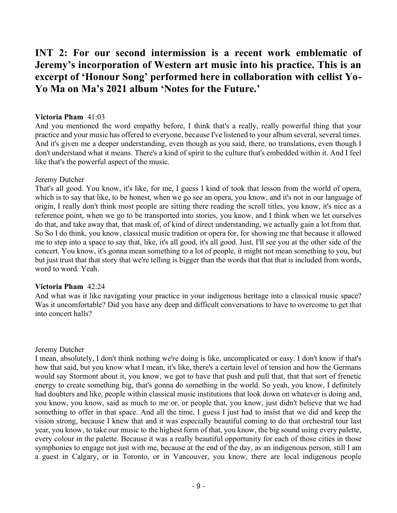# **INT 2: For our second intermission is a recent work emblematic of Jeremy's incorporation of Western art music into his practice. This is an excerpt of 'Honour Song' performed here in collaboration with cellist Yo-Yo Ma on Ma's 2021 album 'Notes for the Future.'**

# **Victoria Pham** 41:03

And you mentioned the word empathy before, I think that's a really, really powerful thing that your practice and your music has offered to everyone, because I've listened to your album several, several times. And it's given me a deeper understanding, even though as you said, there, no translations, even though I don't understand what it means. There's a kind of spirit to the culture that's embedded within it. And I feel like that's the powerful aspect of the music.

# Jeremy Dutcher

That's all good. You know, it's like, for me, I guess I kind of took that lesson from the world of opera, which is to say that like, to be honest, when we go see an opera, you know, and it's not in our language of origin, I really don't think most people are sitting there reading the scroll titles, you know, it's nice as a reference point, when we go to be transported into stories, you know, and I think when we let ourselves do that, and take away that, that mask of, of kind of direct understanding, we actually gain a lot from that. So So I do think, you know, classical music tradition or opera for, for showing me that because it allowed me to step into a space to say that, like, it's all good, it's all good. Just, I'll see you at the other side of the concert. You know, it's gonna mean something to a lot of people, it might not mean something to you, but but just trust that that story that we're telling is bigger than the words that that that is included from words, word to word. Yeah.

#### **Victoria Pham** 42:24

And what was it like navigating your practice in your indigenous heritage into a classical music space? Was it uncomfortable? Did you have any deep and difficult conversations to have to overcome to get that into concert halls?

# Jeremy Dutcher

I mean, absolutely, I don't think nothing we're doing is like, uncomplicated or easy. I don't know if that's how that said, but you know what I mean, it's like, there's a certain level of tension and how the Germans would say Stormont about it, you know, we got to have that push and pull that, that that sort of frenetic energy to create something big, that's gonna do something in the world. So yeah, you know, I definitely had doubters and like, people within classical music institutions that look down on whatever is doing and, you know, you know, said as much to me or, or people that, you know, just didn't believe that we had something to offer in that space. And all the time, I guess I just had to insist that we did and keep the vision strong, because I knew that and it was especially beautiful coming to do that orchestral tour last year, you know, to take our music to the highest form of that, you know, the big sound using every palette, every colour in the palette. Because it was a really beautiful opportunity for each of those cities in those symphonies to engage not just with me, because at the end of the day, as an indigenous person, still I am a guest in Calgary, or in Toronto, or in Vancouver, you know, there are local indigenous people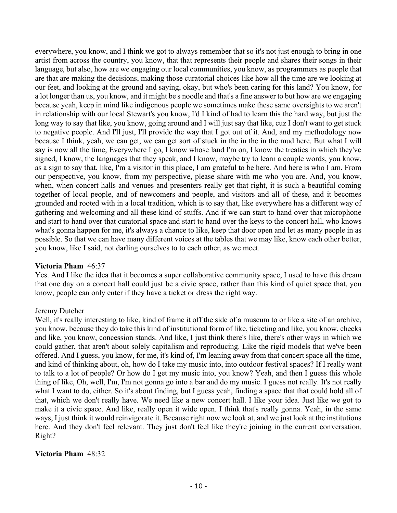everywhere, you know, and I think we got to always remember that so it's not just enough to bring in one artist from across the country, you know, that that represents their people and shares their songs in their language, but also, how are we engaging our local communities, you know, as programmers as people that are that are making the decisions, making those curatorial choices like how all the time are we looking at our feet, and looking at the ground and saying, okay, but who's been caring for this land? You know, for a lot longer than us, you know, and it might be s noodle and that's a fine answer to but how are we engaging because yeah, keep in mind like indigenous people we sometimes make these same oversights to we aren't in relationship with our local Stewart's you know, I'd I kind of had to learn this the hard way, but just the long way to say that like, you know, going around and I will just say that like, cuz I don't want to get stuck to negative people. And I'll just, I'll provide the way that I got out of it. And, and my methodology now because I think, yeah, we can get, we can get sort of stuck in the in the in the mud here. But what I will say is now all the time, Everywhere I go, I know whose land I'm on, I know the treaties in which they've signed, I know, the languages that they speak, and I know, maybe try to learn a couple words, you know, as a sign to say that, like, I'm a visitor in this place, I am grateful to be here. And here is who I am. From our perspective, you know, from my perspective, please share with me who you are. And, you know, when, when concert halls and venues and presenters really get that right, it is such a beautiful coming together of local people, and of newcomers and people, and visitors and all of these, and it becomes grounded and rooted with in a local tradition, which is to say that, like everywhere has a different way of gathering and welcoming and all these kind of stuffs. And if we can start to hand over that microphone and start to hand over that curatorial space and start to hand over the keys to the concert hall, who knows what's gonna happen for me, it's always a chance to like, keep that door open and let as many people in as possible. So that we can have many different voices at the tables that we may like, know each other better, you know, like I said, not darling ourselves to to each other, as we meet.

#### **Victoria Pham** 46:37

Yes. And I like the idea that it becomes a super collaborative community space, I used to have this dream that one day on a concert hall could just be a civic space, rather than this kind of quiet space that, you know, people can only enter if they have a ticket or dress the right way.

#### Jeremy Dutcher

Well, it's really interesting to like, kind of frame it off the side of a museum to or like a site of an archive, you know, because they do take this kind of institutional form of like, ticketing and like, you know, checks and like, you know, concession stands. And like, I just think there's like, there's other ways in which we could gather, that aren't about solely capitalism and reproducing. Like the rigid models that we've been offered. And I guess, you know, for me, it's kind of, I'm leaning away from that concert space all the time, and kind of thinking about, oh, how do I take my music into, into outdoor festival spaces? If I really want to talk to a lot of people? Or how do I get my music into, you know? Yeah, and then I guess this whole thing of like, Oh, well, I'm, I'm not gonna go into a bar and do my music. I guess not really. It's not really what I want to do, either. So it's about finding, but I guess yeah, finding a space that that could hold all of that, which we don't really have. We need like a new concert hall. I like your idea. Just like we got to make it a civic space. And like, really open it wide open. I think that's really gonna. Yeah, in the same ways, I just think it would reinvigorate it. Because right now we look at, and we just look at the institutions here. And they don't feel relevant. They just don't feel like they're joining in the current conversation. Right?

#### **Victoria Pham** 48:32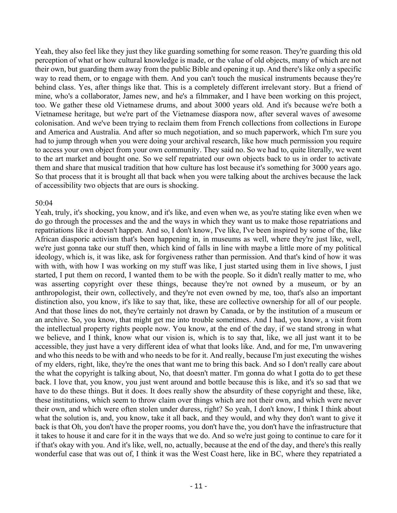Yeah, they also feel like they just they like guarding something for some reason. They're guarding this old perception of what or how cultural knowledge is made, or the value of old objects, many of which are not their own, but guarding them away from the public Bible and opening it up. And there's like only a specific way to read them, or to engage with them. And you can't touch the musical instruments because they're behind class. Yes, after things like that. This is a completely different irrelevant story. But a friend of mine, who's a collaborator, James new, and he's a filmmaker, and I have been working on this project, too. We gather these old Vietnamese drums, and about 3000 years old. And it's because we're both a Vietnamese heritage, but we're part of the Vietnamese diaspora now, after several waves of awesome colonisation. And we've been trying to reclaim them from French collections from collections in Europe and America and Australia. And after so much negotiation, and so much paperwork, which I'm sure you had to jump through when you were doing your archival research, like how much permission you require to access your own object from your own community. They said no. So we had to, quite literally, we went to the art market and bought one. So we self repatriated our own objects back to us in order to activate them and share that musical tradition that how culture has lost because it's something for 3000 years ago. So that process that it is brought all that back when you were talking about the archives because the lack of accessibility two objects that are ours is shocking.

#### 50:04

Yeah, truly, it's shocking, you know, and it's like, and even when we, as you're stating like even when we do go through the processes and the and the ways in which they want us to make those repatriations and repatriations like it doesn't happen. And so, I don't know, I've like, I've been inspired by some of the, like African diasporic activism that's been happening in, in museums as well, where they're just like, well, we're just gonna take our stuff then, which kind of falls in line with maybe a little more of my political ideology, which is, it was like, ask for forgiveness rather than permission. And that's kind of how it was with with, with how I was working on my stuff was like, I just started using them in live shows, I just started, I put them on record, I wanted them to be with the people. So it didn't really matter to me, who was asserting copyright over these things, because they're not owned by a museum, or by an anthropologist, their own, collectively, and they're not even owned by me, too, that's also an important distinction also, you know, it's like to say that, like, these are collective ownership for all of our people. And that those lines do not, they're certainly not drawn by Canada, or by the institution of a museum or an archive. So, you know, that might get me into trouble sometimes. And I had, you know, a visit from the intellectual property rights people now. You know, at the end of the day, if we stand strong in what we believe, and I think, know what our vision is, which is to say that, like, we all just want it to be accessible, they just have a very different idea of what that looks like. And, and for me, I'm unwavering and who this needs to be with and who needs to be for it. And really, because I'm just executing the wishes of my elders, right, like, they're the ones that want me to bring this back. And so I don't really care about the what the copyright is talking about, No, that doesn't matter. I'm gonna do what I gotta do to get these back. I love that, you know, you just went around and bottle because this is like, and it's so sad that we have to do these things. But it does. It does really show the absurdity of these copyright and these, like, these institutions, which seem to throw claim over things which are not their own, and which were never their own, and which were often stolen under duress, right? So yeah, I don't know, I think I think about what the solution is, and, you know, take it all back, and they would, and why they don't want to give it back is that Oh, you don't have the proper rooms, you don't have the, you don't have the infrastructure that it takes to house it and care for it in the ways that we do. And so we're just going to continue to care for it if that's okay with you. And it's like, well, no, actually, because at the end of the day, and there's this really wonderful case that was out of, I think it was the West Coast here, like in BC, where they repatriated a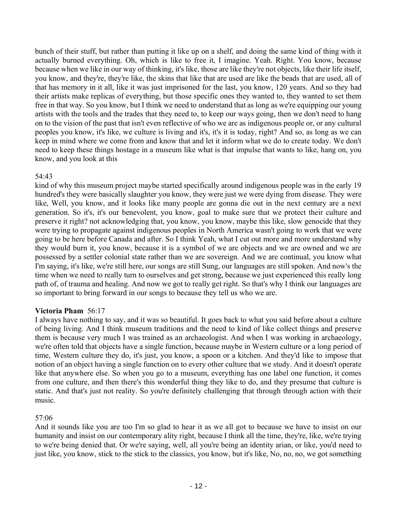bunch of their stuff, but rather than putting it like up on a shelf, and doing the same kind of thing with it actually burned everything. Oh, which is like to free it, I imagine. Yeah. Right. You know, because because when we like in our way of thinking, it's like, those are like they're not objects, like their life itself, you know, and they're, they're like, the skins that like that are used are like the beads that are used, all of that has memory in it all, like it was just imprisoned for the last, you know, 120 years. And so they had their artists make replicas of everything, but those specific ones they wanted to, they wanted to set them free in that way. So you know, but I think we need to understand that as long as we're equipping our young artists with the tools and the trades that they need to, to keep our ways going, then we don't need to hang on to the vision of the past that isn't even reflective of who we are as indigenous people or, or any cultural peoples you know, it's like, we culture is living and it's, it's it is today, right? And so, as long as we can keep in mind where we come from and know that and let it inform what we do to create today. We don't need to keep these things hostage in a museum like what is that impulse that wants to like, hang on, you know, and you look at this

# 54:43

kind of why this museum project maybe started specifically around indigenous people was in the early 19 hundred's they were basically slaughter you know, they were just we were dying from disease. They were like, Well, you know, and it looks like many people are gonna die out in the next century are a next generation. So it's, it's our benevolent, you know, goal to make sure that we protect their culture and preserve it right? not acknowledging that, you know, you know, maybe this like, slow genocide that they were trying to propagate against indigenous peoples in North America wasn't going to work that we were going to be here before Canada and after. So I think Yeah, what I cut out more and more understand why they would burn it, you know, because it is a symbol of we are objects and we are owned and we are possessed by a settler colonial state rather than we are sovereign. And we are continual, you know what I'm saying, it's like, we're still here, our songs are still Sung, our languages are still spoken. And now's the time when we need to really turn to ourselves and get strong, because we just experienced this really long path of, of trauma and healing. And now we got to really get right. So that's why I think our languages are so important to bring forward in our songs to because they tell us who we are.

# **Victoria Pham** 56:17

I always have nothing to say, and it was so beautiful. It goes back to what you said before about a culture of being living. And I think museum traditions and the need to kind of like collect things and preserve them is because very much I was trained as an archaeologist. And when I was working in archaeology, we're often told that objects have a single function, because maybe in Western culture or a long period of time, Western culture they do, it's just, you know, a spoon or a kitchen. And they'd like to impose that notion of an object having a single function on to every other culture that we study. And it doesn't operate like that anywhere else. So when you go to a museum, everything has one label one function, it comes from one culture, and then there's this wonderful thing they like to do, and they presume that culture is static. And that's just not reality. So you're definitely challenging that through through action with their music.

#### 57:06

And it sounds like you are too I'm so glad to hear it as we all got to because we have to insist on our humanity and insist on our contemporary ality right, because I think all the time, they're, like, we're trying to we're being denied that. Or we're saying, well, all you're being an identity arian, or like, you'd need to just like, you know, stick to the stick to the classics, you know, but it's like, No, no, no, we got something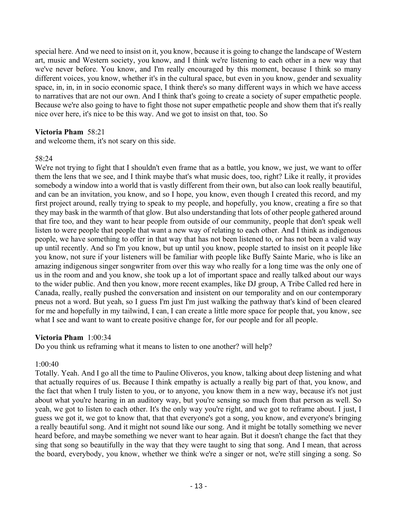special here. And we need to insist on it, you know, because it is going to change the landscape of Western art, music and Western society, you know, and I think we're listening to each other in a new way that we've never before. You know, and I'm really encouraged by this moment, because I think so many different voices, you know, whether it's in the cultural space, but even in you know, gender and sexuality space, in, in, in in socio economic space, I think there's so many different ways in which we have access to narratives that are not our own. And I think that's going to create a society of super empathetic people. Because we're also going to have to fight those not super empathetic people and show them that it's really nice over here, it's nice to be this way. And we got to insist on that, too. So

# **Victoria Pham** 58:21

and welcome them, it's not scary on this side.

# 58:24

We're not trying to fight that I shouldn't even frame that as a battle, you know, we just, we want to offer them the lens that we see, and I think maybe that's what music does, too, right? Like it really, it provides somebody a window into a world that is vastly different from their own, but also can look really beautiful, and can be an invitation, you know, and so I hope, you know, even though I created this record, and my first project around, really trying to speak to my people, and hopefully, you know, creating a fire so that they may bask in the warmth of that glow. But also understanding that lots of other people gathered around that fire too, and they want to hear people from outside of our community, people that don't speak well listen to were people that people that want a new way of relating to each other. And I think as indigenous people, we have something to offer in that way that has not been listened to, or has not been a valid way up until recently. And so I'm you know, but up until you know, people started to insist on it people like you know, not sure if your listeners will be familiar with people like Buffy Sainte Marie, who is like an amazing indigenous singer songwriter from over this way who really for a long time was the only one of us in the room and and you know, she took up a lot of important space and really talked about our ways to the wider public. And then you know, more recent examples, like DJ group, A Tribe Called red here in Canada, really, really pushed the conversation and insistent on our temporality and on our contemporary pneus not a word. But yeah, so I guess I'm just I'm just walking the pathway that's kind of been cleared for me and hopefully in my tailwind, I can, I can create a little more space for people that, you know, see what I see and want to want to create positive change for, for our people and for all people.

#### **Victoria Pham** 1:00:34

Do you think us reframing what it means to listen to one another? will help?

# 1:00:40

Totally. Yeah. And I go all the time to Pauline Oliveros, you know, talking about deep listening and what that actually requires of us. Because I think empathy is actually a really big part of that, you know, and the fact that when I truly listen to you, or to anyone, you know them in a new way, because it's not just about what you're hearing in an auditory way, but you're sensing so much from that person as well. So yeah, we got to listen to each other. It's the only way you're right, and we got to reframe about. I just, I guess we got it, we got to know that, that that everyone's got a song, you know, and everyone's bringing a really beautiful song. And it might not sound like our song. And it might be totally something we never heard before, and maybe something we never want to hear again. But it doesn't change the fact that they sing that song so beautifully in the way that they were taught to sing that song. And I mean, that across the board, everybody, you know, whether we think we're a singer or not, we're still singing a song. So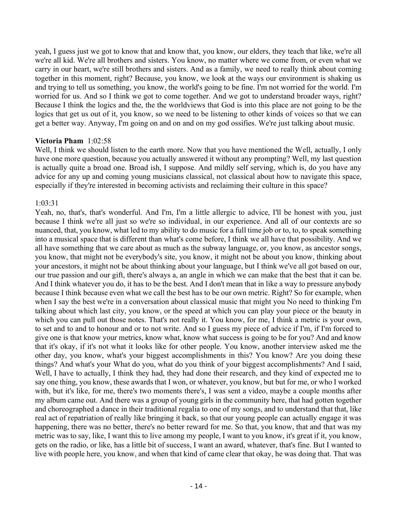yeah, I guess just we got to know that and know that, you know, our elders, they teach that like, we're all we're all kid. We're all brothers and sisters. You know, no matter where we come from, or even what we carry in our heart, we're still brothers and sisters. And as a family, we need to really think about coming together in this moment, right? Because, you know, we look at the ways our environment is shaking us and trying to tell us something, you know, the world's going to be fine. I'm not worried for the world. I'm worried for us. And so I think we got to come together. And we got to understand broader ways, right? Because I think the logics and the, the the worldviews that God is into this place are not going to be the logics that get us out of it, you know, so we need to be listening to other kinds of voices so that we can get a better way. Anyway, I'm going on and on and on my god ossifies. We're just talking about music.

#### **Victoria Pham** 1:02:58

Well, I think we should listen to the earth more. Now that you have mentioned the Well, actually, I only have one more question, because you actually answered it without any prompting? Well, my last question is actually quite a broad one. Broad ish, I suppose. And mildly self serving, which is, do you have any advice for any up and coming young musicians classical, not classical about how to navigate this space, especially if they're interested in becoming activists and reclaiming their culture in this space?

# 1:03:31

Yeah, no, that's, that's wonderful. And I'm, I'm a little allergic to advice, I'll be honest with you, just because I think we're all just so we're so individual, in our experience. And all of our contexts are so nuanced, that, you know, what led to my ability to do music for a full time job or to, to, to speak something into a musical space that is different than what's come before, I think we all have that possibility. And we all have something that we care about as much as the subway language, or, you know, as ancestor songs, you know, that might not be everybody's site, you know, it might not be about you know, thinking about your ancestors, it might not be about thinking about your language, but I think we've all got based on our, our true passion and our gift, there's always a, an angle in which we can make that the best that it can be. And I think whatever you do, it has to be the best. And I don't mean that in like a way to pressure anybody because I think because even what we call the best has to be our own metric. Right? So for example, when when I say the best we're in a conversation about classical music that might you No need to thinking I'm talking about which last city, you know, or the speed at which you can play your piece or the beauty in which you can pull out those notes. That's not really it. You know, for me, I think a metric is your own, to set and to and to honour and or to not write. And so I guess my piece of advice if I'm, if I'm forced to give one is that know your metrics, know what, know what success is going to be for you? And and know that it's okay, if it's not what it looks like for other people. You know, another interview asked me the other day, you know, what's your biggest accomplishments in this? You know? Are you doing these things? And what's your What do you, what do you think of your biggest accomplishments? And I said, Well, I have to actually, I think they had, they had done their research, and they kind of expected me to say one thing, you know, these awards that I won, or whatever, you know, but but for me, or who I worked with, but it's like, for me, there's two moments there's, I was sent a video, maybe a couple months after my album came out. And there was a group of young girls in the community here, that had gotten together and choreographed a dance in their traditional regalia to one of my songs, and to understand that that, like real act of repatriation of really like bringing it back, so that our young people can actually engage it was happening, there was no better, there's no better reward for me. So that, you know, that and that was my metric was to say, like, I want this to live among my people, I want to you know, it's great if it, you know, gets on the radio, or like, has a little bit of success, I want an award, whatever, that's fine. But I wanted to live with people here, you know, and when that kind of came clear that okay, he was doing that. That was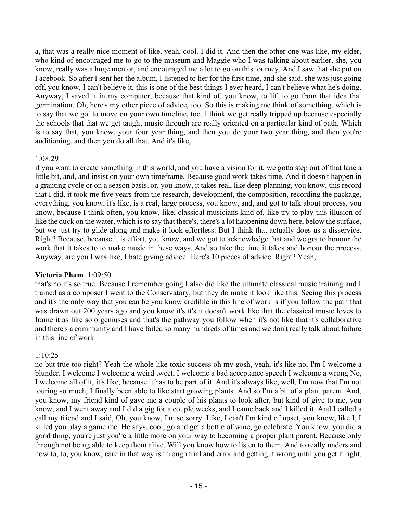a, that was a really nice moment of like, yeah, cool. I did it. And then the other one was like, my elder, who kind of encouraged me to go to the museum and Maggie who I was talking about earlier, she, you know, really was a huge mentor, and encouraged me a lot to go on this journey. And I saw that she put on Facebook. So after I sent her the album, I listened to her for the first time, and she said, she was just going off, you know, I can't believe it, this is one of the best things I ever heard, I can't believe what he's doing. Anyway, I saved it in my computer, because that kind of, you know, to lift to go from that idea that germination. Oh, here's my other piece of advice, too. So this is making me think of something, which is to say that we got to move on your own timeline, too. I think we get really tripped up because especially the schools that that we get taught music through are really oriented on a particular kind of path. Which is to say that, you know, your four year thing, and then you do your two year thing, and then you're auditioning, and then you do all that. And it's like,

# 1:08:29

if you want to create something in this world, and you have a vision for it, we gotta step out of that lane a little bit, and, and insist on your own timeframe. Because good work takes time. And it doesn't happen in a granting cycle or on a season basis, or, you know, it takes real, like deep planning, you know, this record that I did, it took me five years from the research, development, the composition, recording the package, everything, you know, it's like, is a real, large process, you know, and, and got to talk about process, you know, because I think often, you know, like, classical musicians kind of, like try to play this illusion of like the duck on the water, which is to say that there's, there's a lot happening down here, below the surface, but we just try to glide along and make it look effortless. But I think that actually does us a disservice. Right? Because, because it is effort, you know, and we got to acknowledge that and we got to honour the work that it takes to to make music in these ways. And so take the time it takes and honour the process. Anyway, are you I was like, I hate giving advice. Here's 10 pieces of advice. Right? Yeah,

# **Victoria Pham** 1:09:50

that's no it's so true. Because I remember going I also did like the ultimate classical music training and I trained as a composer I went to the Conservatory, but they do make it look like this. Seeing this process and it's the only way that you can be you know credible in this line of work is if you follow the path that was drawn out 200 years ago and you know it's it's it doesn't work like that the classical music loves to frame it as like solo geniuses and that's the pathway you follow when it's not like that it's collaborative and there's a community and I have failed so many hundreds of times and we don't really talk about failure in this line of work

# 1:10:25

no but true too right? Yeah the whole like toxic success oh my gosh, yeah, it's like no, I'm I welcome a blunder. I welcome I welcome a weird tweet, I welcome a bad acceptance speech I welcome a wrong No, I welcome all of it, it's like, because it has to be part of it. And it's always like, well, I'm now that I'm not touring so much, I finally been able to like start growing plants. And so I'm a bit of a plant parent. And, you know, my friend kind of gave me a couple of his plants to look after, but kind of give to me, you know, and I went away and I did a gig for a couple weeks, and I came back and I killed it. And I called a call my friend and I said, Oh, you know, I'm so sorry. Like, I can't I'm kind of upset, you know, like I, I killed you play a game me. He says, cool, go and get a bottle of wine, go celebrate. You know, you did a good thing, you're just you're a little more on your way to becoming a proper plant parent. Because only through not being able to keep them alive. Will you know how to listen to them. And to really understand how to, to, you know, care in that way is through trial and error and getting it wrong until you get it right.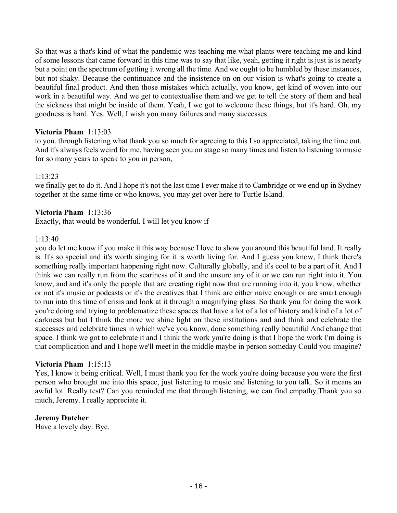So that was a that's kind of what the pandemic was teaching me what plants were teaching me and kind of some lessons that came forward in this time was to say that like, yeah, getting it right is just is is nearly but a point on the spectrum of getting it wrong all the time. And we ought to be humbled by these instances, but not shaky. Because the continuance and the insistence on on our vision is what's going to create a beautiful final product. And then those mistakes which actually, you know, get kind of woven into our work in a beautiful way. And we get to contextualise them and we get to tell the story of them and heal the sickness that might be inside of them. Yeah, I we got to welcome these things, but it's hard. Oh, my goodness is hard. Yes. Well, I wish you many failures and many successes

# **Victoria Pham** 1:13:03

to you. through listening what thank you so much for agreeing to this I so appreciated, taking the time out. And it's always feels weird for me, having seen you on stage so many times and listen to listening to music for so many years to speak to you in person,

#### 1:13:23

we finally get to do it. And I hope it's not the last time I ever make it to Cambridge or we end up in Sydney together at the same time or who knows, you may get over here to Turtle Island.

# **Victoria Pham** 1:13:36

Exactly, that would be wonderful. I will let you know if

#### 1:13:40

you do let me know if you make it this way because I love to show you around this beautiful land. It really is. It's so special and it's worth singing for it is worth living for. And I guess you know, I think there's something really important happening right now. Culturally globally, and it's cool to be a part of it. And I think we can really run from the scariness of it and the unsure any of it or we can run right into it. You know, and and it's only the people that are creating right now that are running into it, you know, whether or not it's music or podcasts or it's the creatives that I think are either naive enough or are smart enough to run into this time of crisis and look at it through a magnifying glass. So thank you for doing the work you're doing and trying to problematize these spaces that have a lot of a lot of history and kind of a lot of darkness but but I think the more we shine light on these institutions and and think and celebrate the successes and celebrate times in which we've you know, done something really beautiful And change that space. I think we got to celebrate it and I think the work you're doing is that I hope the work I'm doing is that complication and and I hope we'll meet in the middle maybe in person someday Could you imagine?

#### **Victoria Pham** 1:15:13

Yes, I know it being critical. Well, I must thank you for the work you're doing because you were the first person who brought me into this space, just listening to music and listening to you talk. So it means an awful lot. Really test? Can you reminded me that through listening, we can find empathy.Thank you so much, Jeremy. I really appreciate it.

#### **Jeremy Dutcher**

Have a lovely day. Bye.